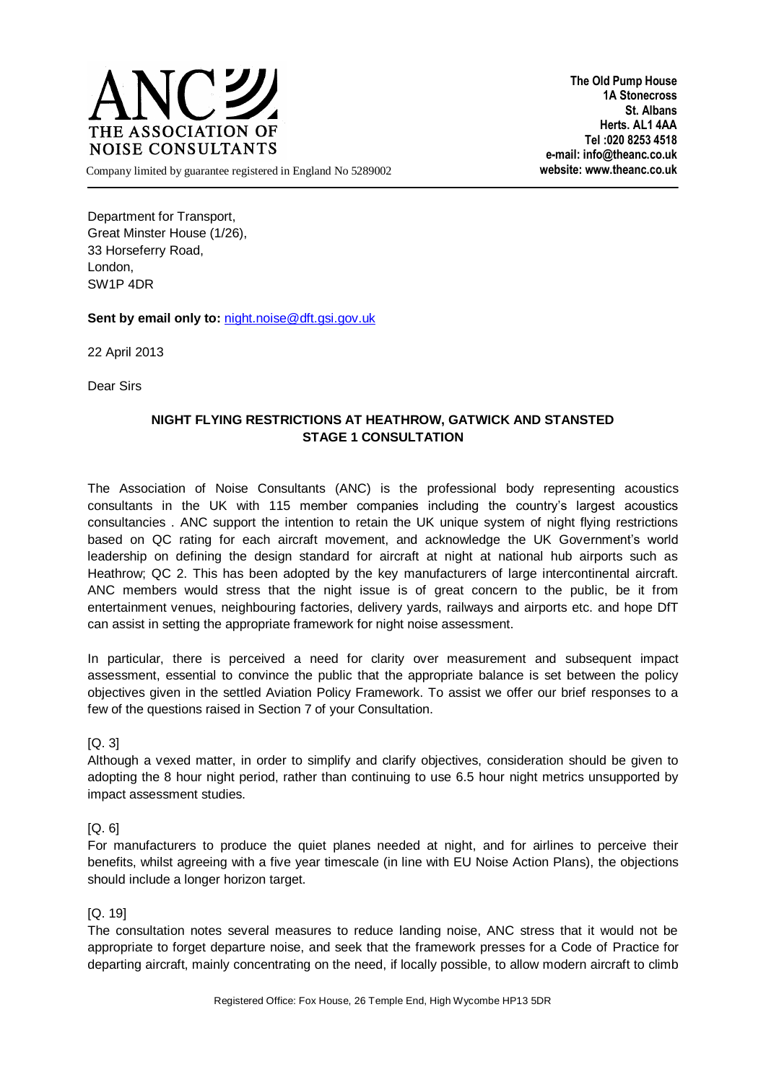

**The Old Pump House 1A Stonecross St. Albans Herts. AL1 4AA Tel :020 8253 4518 e-mail: info@theanc.co.uk**

Company limited by guarantee registered in England No 5289002 **website: www.theanc.co.uk**

Department for Transport, Great Minster House (1/26), 33 Horseferry Road, London, SW1P 4DR

**Sent by email only to:** [night.noise@dft.gsi.gov.uk](mailto:night.noise@dft.gsi.gov.uk)

22 April 2013

Dear Sirs

## **NIGHT FLYING RESTRICTIONS AT HEATHROW, GATWICK AND STANSTED STAGE 1 CONSULTATION**

The Association of Noise Consultants (ANC) is the professional body representing acoustics consultants in the UK with 115 member companies including the country's largest acoustics consultancies . ANC support the intention to retain the UK unique system of night flying restrictions based on QC rating for each aircraft movement, and acknowledge the UK Government's world leadership on defining the design standard for aircraft at night at national hub airports such as Heathrow; QC 2. This has been adopted by the key manufacturers of large intercontinental aircraft. ANC members would stress that the night issue is of great concern to the public, be it from entertainment venues, neighbouring factories, delivery yards, railways and airports etc. and hope DfT can assist in setting the appropriate framework for night noise assessment.

In particular, there is perceived a need for clarity over measurement and subsequent impact assessment, essential to convince the public that the appropriate balance is set between the policy objectives given in the settled Aviation Policy Framework. To assist we offer our brief responses to a few of the questions raised in Section 7 of your Consultation.

[Q. 3]

Although a vexed matter, in order to simplify and clarify objectives, consideration should be given to adopting the 8 hour night period, rather than continuing to use 6.5 hour night metrics unsupported by impact assessment studies.

[Q. 6]

For manufacturers to produce the quiet planes needed at night, and for airlines to perceive their benefits, whilst agreeing with a five year timescale (in line with EU Noise Action Plans), the objections should include a longer horizon target.

# [Q. 19]

The consultation notes several measures to reduce landing noise, ANC stress that it would not be appropriate to forget departure noise, and seek that the framework presses for a Code of Practice for departing aircraft, mainly concentrating on the need, if locally possible, to allow modern aircraft to climb